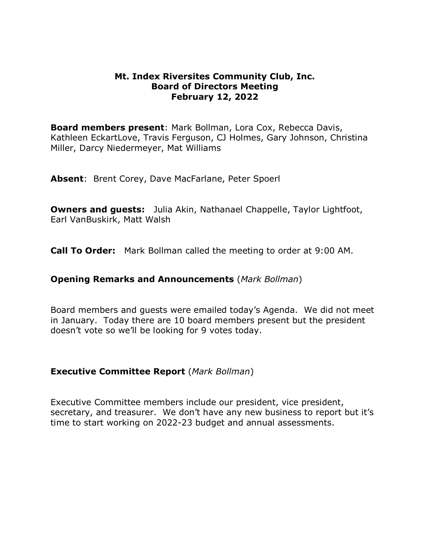#### **Mt. Index Riversites Community Club, Inc. Board of Directors Meeting February 12, 2022**

**Board members present**: Mark Bollman, Lora Cox, Rebecca Davis, Kathleen EckartLove, Travis Ferguson, CJ Holmes, Gary Johnson, Christina Miller, Darcy Niedermeyer, Mat Williams

**Absent**: Brent Corey, Dave MacFarlane, Peter Spoerl

**Owners and guests:** Julia Akin, Nathanael Chappelle, Taylor Lightfoot, Earl VanBuskirk, Matt Walsh

**Call To Order:** Mark Bollman called the meeting to order at 9:00 AM.

#### **Opening Remarks and Announcements** (*Mark Bollman*)

Board members and guests were emailed today's Agenda. We did not meet in January. Today there are 10 board members present but the president doesn't vote so we'll be looking for 9 votes today.

#### **Executive Committee Report** (*Mark Bollman*)

Executive Committee members include our president, vice president, secretary, and treasurer. We don't have any new business to report but it's time to start working on 2022-23 budget and annual assessments.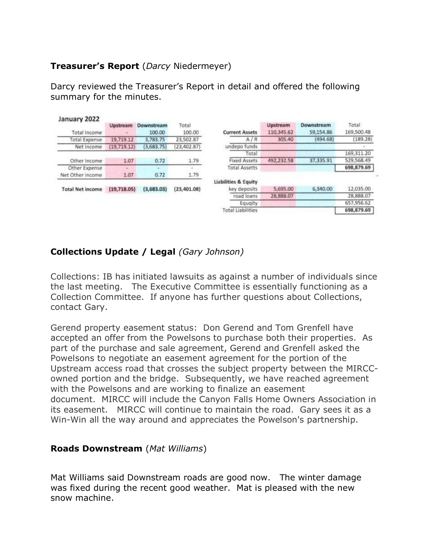# **Treasurer's Report** (*Darcy* Niedermeyer)

Darcy reviewed the Treasurer's Report in detail and offered the following summary for the minutes.

| January 2022            |               |            |              |                          |            |            |            |
|-------------------------|---------------|------------|--------------|--------------------------|------------|------------|------------|
|                         | Upstream      | Downstream | Total        |                          | Upstream   | Downstream | Total      |
| Total Income            |               | 100.00     | 100.00       | <b>Current Assets</b>    | 110,345.62 | 59,154.86  | 169,500.48 |
| Total Expense           | 19,719.12     | 3.783.75   | 23,502.87    | A/R                      | 305.40     | (494.68)   | (189.28)   |
| Net Income              | (19, 719.12)  | (3,683,75) | (23, 402.87) | undepo funds             |            |            |            |
|                         |               |            |              | Total                    |            |            | 169,311.20 |
| Other Income            | 1.07          | 0.72       | 1.79         | Fixed Assets             | 492.232.58 | 37,335.91  | 529,568.49 |
| Other Expense           |               |            | Sept.        | <b>Total Assetts</b>     |            |            | 698,879.69 |
| Net Other income        | 1.07          | 0.72       | 1.79         |                          |            |            |            |
|                         |               |            |              | Liabilities & Equity     |            |            |            |
| <b>Total Net income</b> | (19, 718, 05) | (3,683.03) | (23, 401.08) | key deposits             | 5,695.00   | 6,340.00   | 12,035.00  |
|                         |               |            |              | road loans               | 28,888.07  |            | 28,888.07  |
|                         |               |            |              | Equaity                  |            |            | 657,956.62 |
|                         |               |            |              | <b>Total Liabilities</b> |            |            | 698,879.69 |

# **Collections Update / Legal** *(Gary Johnson)*

Collections: IB has initiated lawsuits as against a number of individuals since the last meeting. The Executive Committee is essentially functioning as a Collection Committee. If anyone has further questions about Collections, contact Gary.

Gerend property easement status: Don Gerend and Tom Grenfell have accepted an offer from the Powelsons to purchase both their properties. As part of the purchase and sale agreement, Gerend and Grenfell asked the Powelsons to negotiate an easement agreement for the portion of the Upstream access road that crosses the subject property between the MIRCCowned portion and the bridge. Subsequently, we have reached agreement with the Powelsons and are working to finalize an easement document. MIRCC will include the Canyon Falls Home Owners Association in its easement. MIRCC will continue to maintain the road. Gary sees it as a Win-Win all the way around and appreciates the Powelson's partnership.

## **Roads Downstream** (*Mat Williams*)

Mat Williams said Downstream roads are good now. The winter damage was fixed during the recent good weather. Mat is pleased with the new snow machine.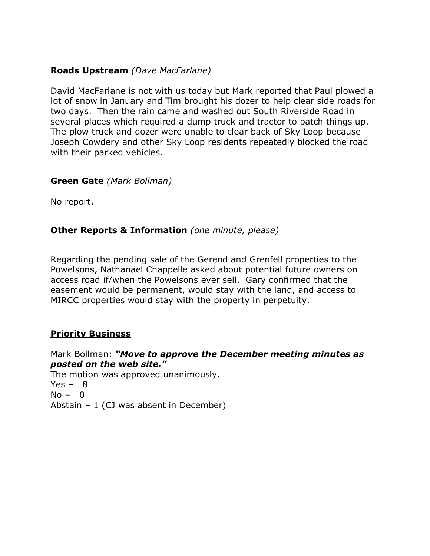## **Roads Upstream** *(Dave MacFarlane)*

David MacFarlane is not with us today but Mark reported that Paul plowed a lot of snow in January and Tim brought his dozer to help clear side roads for two days. Then the rain came and washed out South Riverside Road in several places which required a dump truck and tractor to patch things up. The plow truck and dozer were unable to clear back of Sky Loop because Joseph Cowdery and other Sky Loop residents repeatedly blocked the road with their parked vehicles.

### **Green Gate** *(Mark Bollman)*

No report.

### **Other Reports & Information** *(one minute, please)*

Regarding the pending sale of the Gerend and Grenfell properties to the Powelsons, Nathanael Chappelle asked about potential future owners on access road if/when the Powelsons ever sell. Gary confirmed that the easement would be permanent, would stay with the land, and access to MIRCC properties would stay with the property in perpetuity.

### **Priority Business**

Mark Bollman: *"Move to approve the December meeting minutes as posted on the web site."*  The motion was approved unanimously.  $Yes - 8$  $No - 0$ Abstain  $-1$  (CJ was absent in December)